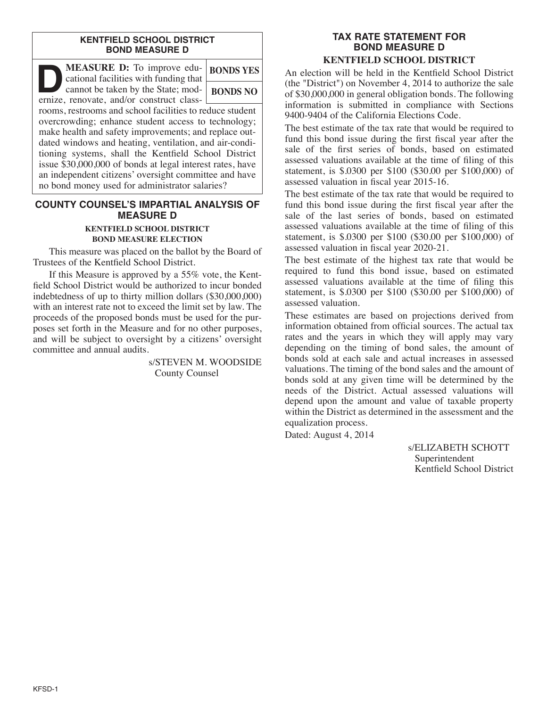#### **KENTFIELD SCHOOL DISTRICT BOND MEASURE D**

**DEASURE D:** To improve edu-<br>
cational facilities with funding that<br>
cannot be taken by the State; mod-<br>
ernize renovate, and/or construct class cational facilities with funding that ernize, renovate, and/or construct class-**BONDS YES BONDS NO**

rooms, restrooms and school facilities to reduce student overcrowding; enhance student access to technology; make health and safety improvements; and replace outdated windows and heating, ventilation, and air-conditioning systems, shall the Kentfield School District issue \$30,000,000 of bonds at legal interest rates, have an independent citizens' oversight committee and have no bond money used for administrator salaries?

# **COUNTY COUNSEL'S IMPARTIAL ANALYSIS OF MEASURE D**

#### **KENTFIELD SCHOOL DISTRICT BOND MEASURE ELECTION**

This measure was placed on the ballot by the Board of Trustees of the Kentfield School District.

If this Measure is approved by a 55% vote, the Kentfield School District would be authorized to incur bonded indebtedness of up to thirty million dollars (\$30,000,000) with an interest rate not to exceed the limit set by law. The proceeds of the proposed bonds must be used for the purposes set forth in the Measure and for no other purposes, and will be subject to oversight by a citizens' oversight committee and annual audits.

> s/STEVEN M. WOODSIDE County Counsel

#### **TAX RATE STATEMENT FOR BOND MEASURE D KENTFIELD SCHOOL DISTRICT**

An election will be held in the Kentfield School District (the "District") on November 4, 2014 to authorize the sale of \$30,000,000 in general obligation bonds. The following information is submitted in compliance with Sections 9400-9404 of the California Elections Code.

The best estimate of the tax rate that would be required to fund this bond issue during the first fiscal year after the sale of the first series of bonds, based on estimated assessed valuations available at the time of filing of this statement, is \$.0300 per \$100 (\$30.00 per \$100,000) of assessed valuation in fiscal year 2015-16.

The best estimate of the tax rate that would be required to fund this bond issue during the first fiscal year after the sale of the last series of bonds, based on estimated assessed valuations available at the time of filing of this statement, is \$.0300 per \$100 (\$30.00 per \$100,000) of assessed valuation in fiscal year 2020-21.

The best estimate of the highest tax rate that would be required to fund this bond issue, based on estimated assessed valuations available at the time of filing this statement, is \$.0300 per \$100 (\$30.00 per \$100,000) of assessed valuation.

These estimates are based on projections derived from information obtained from official sources. The actual tax rates and the years in which they will apply may vary depending on the timing of bond sales, the amount of bonds sold at each sale and actual increases in assessed valuations. The timing of the bond sales and the amount of bonds sold at any given time will be determined by the needs of the District. Actual assessed valuations will depend upon the amount and value of taxable property within the District as determined in the assessment and the equalization process.

Dated: August 4, 2014

s/ELIZABETH SCHOTT Superintendent Kentfield School District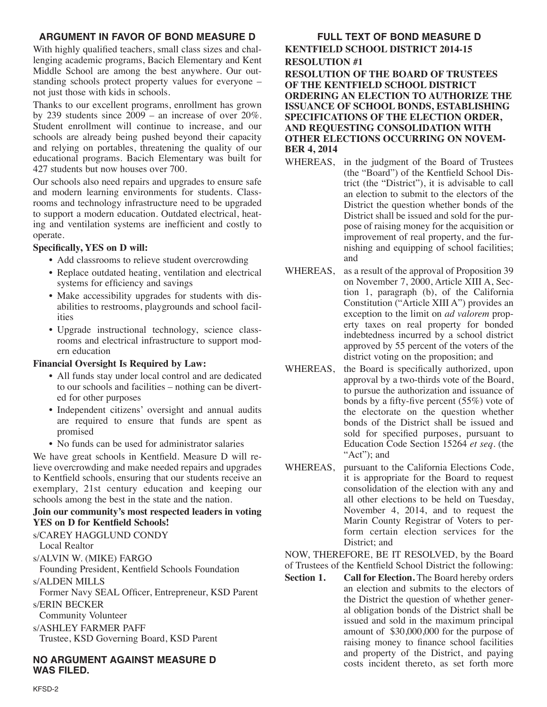## **ARGUMENT IN FAVOR OF BOND MEASURE D**

With highly qualified teachers, small class sizes and challenging academic programs, Bacich Elementary and Kent Middle School are among the best anywhere. Our outstanding schools protect property values for everyone – not just those with kids in schools.

Thanks to our excellent programs, enrollment has grown by 239 students since  $2009 -$  an increase of over  $20\%$ . Student enrollment will continue to increase, and our schools are already being pushed beyond their capacity and relying on portables, threatening the quality of our educational programs. Bacich Elementary was built for 427 students but now houses over 700.

Our schools also need repairs and upgrades to ensure safe and modern learning environments for students. Classrooms and technology infrastructure need to be upgraded to support a modern education. Outdated electrical, heating and ventilation systems are inefficient and costly to operate.

### **Specifically, YES on D will:**

- Add classrooms to relieve student overcrowding
- Replace outdated heating, ventilation and electrical systems for efficiency and savings
- Make accessibility upgrades for students with disabilities to restrooms, playgrounds and school facilities
- Upgrade instructional technology, science classrooms and electrical infrastructure to support modern education

## **Financial Oversight Is Required by Law:**

- All funds stay under local control and are dedicated to our schools and facilities – nothing can be diverted for other purposes
- Independent citizens' oversight and annual audits are required to ensure that funds are spent as promised
- No funds can be used for administrator salaries

We have great schools in Kentfield. Measure D will relieve overcrowding and make needed repairs and upgrades to Kentfield schools, ensuring that our students receive an exemplary, 21st century education and keeping our schools among the best in the state and the nation.

## **Join our community's most respected leaders in voting YES on D for Kentfield Schools!**

## s/CAREY HAGGLUND CONDY

Local Realtor

s/ALVIN W. (MIKE) FARGO

Founding President, Kentfield Schools Foundation s/ALDEN MILLS

Former Navy SEAL Officer, Entrepreneur, KSD Parent

s/ERIN BECKER Community Volunteer

s/ASHLEY FARMER PAFF Trustee, KSD Governing Board, KSD Parent

**NO ARGUMENT AGAINST MEASURE D WAS FILED.**

### **FULL TEXT OF BOND MEASURE D KENTFIELD SCHOOL DISTRICT 2014-15**

**RESOLUTION #1 RESOLUTION OF THE BOARD OF TRUSTEES OF THE KENTFIELD SCHOOL DISTRICT ORDERING AN ELECTION TO AUTHORIZE THE ISSUANCE OF SCHOOL BONDS, ESTABLISHING SPECIFICATIONS OF THE ELECTION ORDER, AND REQUESTING CONSOLIDATION WITH OTHER ELECTIONS OCCURRING ON NOVEM-**

### **BER 4, 2014**

- WHEREAS, in the judgment of the Board of Trustees (the "Board") of the Kentfield School District (the "District"), it is advisable to call an election to submit to the electors of the District the question whether bonds of the District shall be issued and sold for the purpose of raising money for the acquisition or improvement of real property, and the furnishing and equipping of school facilities; and
- WHEREAS, as a result of the approval of Proposition 39 on November 7, 2000, Article XIII A, Section 1, paragraph (b), of the California Constitution ("Article XIII A") provides an exception to the limit on *ad valorem* property taxes on real property for bonded indebtedness incurred by a school district approved by 55 percent of the voters of the district voting on the proposition; and
- WHEREAS, the Board is specifically authorized, upon approval by a two-thirds vote of the Board, to pursue the authorization and issuance of bonds by a fifty-five percent (55%) vote of the electorate on the question whether bonds of the District shall be issued and sold for specified purposes, pursuant to Education Code Section 15264 *et seq*. (the "Act": and
- WHEREAS, pursuant to the California Elections Code, it is appropriate for the Board to request consolidation of the election with any and all other elections to be held on Tuesday, November 4, 2014, and to request the Marin County Registrar of Voters to perform certain election services for the District; and

### NOW, THEREFORE, BE IT RESOLVED, by the Board of Trustees of the Kentfield School District the following:

**Section 1. Call for Election.** The Board hereby orders an election and submits to the electors of the District the question of whether general obligation bonds of the District shall be issued and sold in the maximum principal amount of \$30,000,000 for the purpose of raising money to finance school facilities and property of the District, and paying costs incident thereto, as set forth more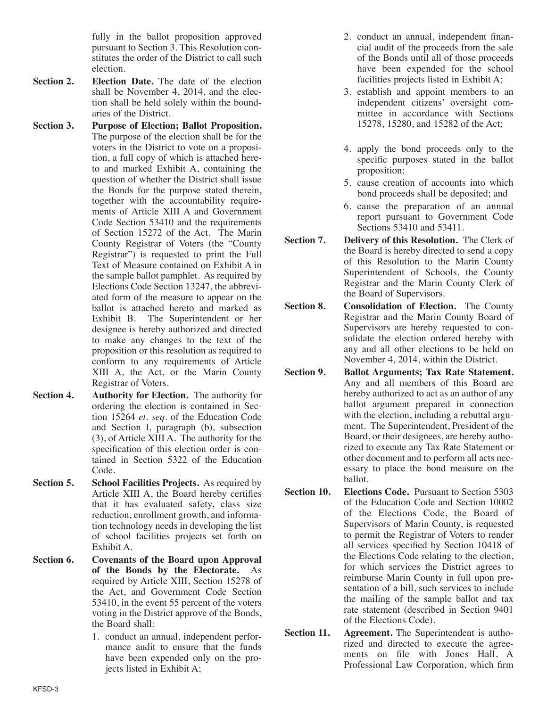fully in the ballot proposition approved pursuant to Section 3. This Resolution constitutes the order of the District to call such election.

- **Section 2. Election Date.** The date of the election shall be November 4, 2014, and the election shall be held solely within the boundaries of the District.
- **Section 3. Purpose of Election; Ballot Proposition.** The purpose of the election shall be for the voters in the District to vote on a proposition, a full copy of which is attached hereto and marked Exhibit A, containing the question of whether the District shall issue the Bonds for the purpose stated therein, together with the accountability requirements of Article XIII A and Government Code Section 53410 and the requirements of Section 15272 of the Act. The Marin County Registrar of Voters (the "County Registrar") is requested to print the Full Text of Measure contained on Exhibit A in the sample ballot pamphlet. As required by Elections Code Section 13247, the abbreviated form of the measure to appear on the ballot is attached hereto and marked as Exhibit B. The Superintendent or her designee is hereby authorized and directed to make any changes to the text of the proposition or this resolution as required to conform to any requirements of Article XIII A, the Act, or the Marin County Registrar of Voters.
- **Section 4. Authority for Election.** The authority for ordering the election is contained in Section 15264 *et. seq*. of the Education Code and Section l, paragraph (b), subsection (3), of Article XIII A. The authority for the specification of this election order is contained in Section 5322 of the Education Code.
- **Section 5. School Facilities Projects.** As required by Article XIII A, the Board hereby certifies that it has evaluated safety, class size reduction, enrollment growth, and information technology needs in developing the list of school facilities projects set forth on Exhibit A.
- **Section 6. Covenants of the Board upon Approval of the Bonds by the Electorate.** As required by Article XIII, Section 15278 of the Act, and Government Code Section 53410, in the event 55 percent of the voters voting in the District approve of the Bonds, the Board shall:
	- 1. conduct an annual, independent performance audit to ensure that the funds have been expended only on the projects listed in Exhibit A;
- 2. conduct an annual, independent financial audit of the proceeds from the sale of the Bonds until all of those proceeds have been expended for the school facilities projects listed in Exhibit A;
- 3. establish and appoint members to an independent citizens' oversight committee in accordance with Sections 15278, 15280, and 15282 of the Act;
- 4. apply the bond proceeds only to the specific purposes stated in the ballot proposition;
- 5. cause creation of accounts into which bond proceeds shall be deposited; and
- 6. cause the preparation of an annual report pursuant to Government Code Sections 53410 and 53411.
- **Section 7. Delivery of this Resolution.** The Clerk of the Board is hereby directed to send a copy of this Resolution to the Marin County Superintendent of Schools, the County Registrar and the Marin County Clerk of the Board of Supervisors.
- **Section 8. Consolidation of Election.** The County Registrar and the Marin County Board of Supervisors are hereby requested to consolidate the election ordered hereby with any and all other elections to be held on November 4, 2014, within the District.
- **Section 9. Ballot Arguments; Tax Rate Statement.** Any and all members of this Board are hereby authorized to act as an author of any ballot argument prepared in connection with the election, including a rebuttal argument. The Superintendent, President of the Board, or their designees, are hereby authorized to execute any Tax Rate Statement or other document and to perform all acts necessary to place the bond measure on the ballot.
- **Section 10. Elections Code.** Pursuant to Section 5303 of the Education Code and Section 10002 of the Elections Code, the Board of Supervisors of Marin County, is requested to permit the Registrar of Voters to render all services specified by Section 10418 of the Elections Code relating to the election, for which services the District agrees to reimburse Marin County in full upon presentation of a bill, such services to include the mailing of the sample ballot and tax rate statement (described in Section 9401 of the Elections Code).
- **Section 11. Agreement.** The Superintendent is authorized and directed to execute the agreements on file with Jones Hall, A Professional Law Corporation, which firm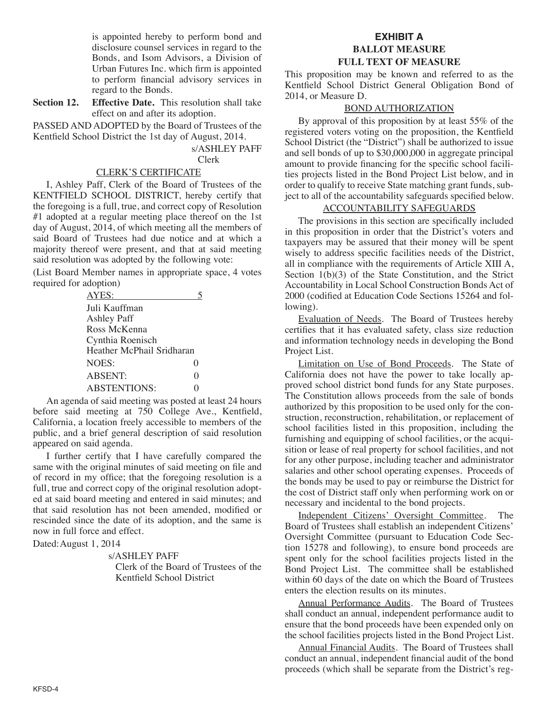is appointed hereby to perform bond and disclosure counsel services in regard to the Bonds, and Isom Advisors, a Division of Urban Futures Inc. which firm is appointed to perform financial advisory services in regard to the Bonds.

**Section 12. Effective Date.** This resolution shall take effect on and after its adoption.

PASSED AND ADOPTED by the Board of Trustees of the Kentfield School District the 1st day of August, 2014.

> s/ASHLEY PAFF Clerk

#### CLERK'S CERTIFICATE

I, Ashley Paff, Clerk of the Board of Trustees of the KENTFIELD SCHOOL DISTRICT, hereby certify that the foregoing is a full, true, and correct copy of Resolution #1 adopted at a regular meeting place thereof on the 1st day of August, 2014, of which meeting all the members of said Board of Trustees had due notice and at which a majority thereof were present, and that at said meeting said resolution was adopted by the following vote:

(List Board Member names in appropriate space, 4 votes required for adoption)

| AYES:                     |                   |
|---------------------------|-------------------|
| Juli Kauffman             |                   |
| Ashley Paff               |                   |
| Ross McKenna              |                   |
| Cynthia Roenisch          |                   |
| Heather McPhail Sridharan |                   |
| <b>NOES:</b>              | $\mathbf{\Omega}$ |
| <b>ABSENT:</b>            | 0                 |
| <b>ABSTENTIONS:</b>       |                   |

An agenda of said meeting was posted at least 24 hours before said meeting at 750 College Ave., Kentfield, California, a location freely accessible to members of the public, and a brief general description of said resolution appeared on said agenda.

I further certify that I have carefully compared the same with the original minutes of said meeting on file and of record in my office; that the foregoing resolution is a full, true and correct copy of the original resolution adopted at said board meeting and entered in said minutes; and that said resolution has not been amended, modified or rescinded since the date of its adoption, and the same is now in full force and effect.

Dated:August 1, 2014

s/ASHLEY PAFF

Clerk of the Board of Trustees of the Kentfield School District

### **EXHIBIT A BALLOT MEASURE FULL TEXT OF MEASURE**

This proposition may be known and referred to as the Kentfield School District General Obligation Bond of 2014, or Measure D.

#### BOND AUTHORIZATION

By approval of this proposition by at least 55% of the registered voters voting on the proposition, the Kentfield School District (the "District") shall be authorized to issue and sell bonds of up to \$30,000,000 in aggregate principal amount to provide financing for the specific school facilities projects listed in the Bond Project List below, and in order to qualify to receive State matching grant funds, subject to all of the accountability safeguards specified below.

#### ACCOUNTABILITY SAFEGUARDS

The provisions in this section are specifically included in this proposition in order that the District's voters and taxpayers may be assured that their money will be spent wisely to address specific facilities needs of the District, all in compliance with the requirements of Article XIII A, Section  $1(b)(3)$  of the State Constitution, and the Strict Accountability in Local School Construction Bonds Act of 2000 (codified at Education Code Sections 15264 and following).

Evaluation of Needs. The Board of Trustees hereby certifies that it has evaluated safety, class size reduction and information technology needs in developing the Bond Project List.

Limitation on Use of Bond Proceeds. The State of California does not have the power to take locally approved school district bond funds for any State purposes. The Constitution allows proceeds from the sale of bonds authorized by this proposition to be used only for the construction, reconstruction, rehabilitation, or replacement of school facilities listed in this proposition, including the furnishing and equipping of school facilities, or the acquisition or lease of real property for school facilities, and not for any other purpose, including teacher and administrator salaries and other school operating expenses. Proceeds of the bonds may be used to pay or reimburse the District for the cost of District staff only when performing work on or necessary and incidental to the bond projects.

Independent Citizens' Oversight Committee. The Board of Trustees shall establish an independent Citizens' Oversight Committee (pursuant to Education Code Section 15278 and following), to ensure bond proceeds are spent only for the school facilities projects listed in the Bond Project List. The committee shall be established within 60 days of the date on which the Board of Trustees enters the election results on its minutes.

Annual Performance Audits. The Board of Trustees shall conduct an annual, independent performance audit to ensure that the bond proceeds have been expended only on the school facilities projects listed in the Bond Project List.

Annual Financial Audits. The Board of Trustees shall conduct an annual, independent financial audit of the bond proceeds (which shall be separate from the District's reg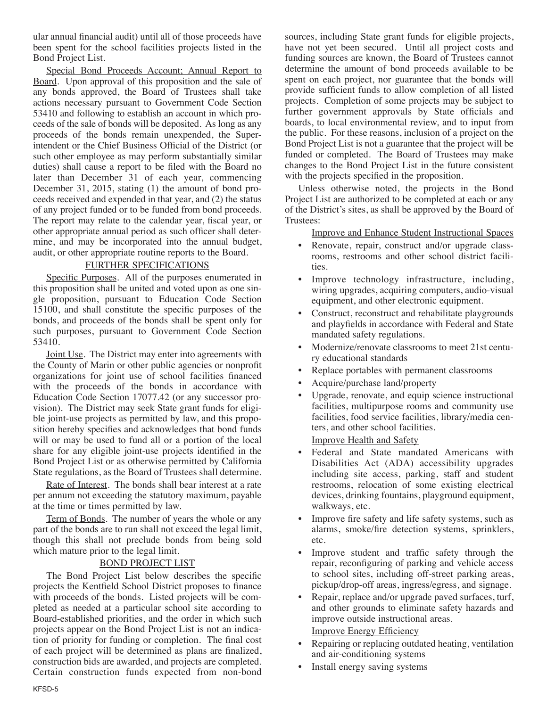ular annual financial audit) until all of those proceeds have been spent for the school facilities projects listed in the Bond Project List.

Special Bond Proceeds Account; Annual Report to Board. Upon approval of this proposition and the sale of any bonds approved, the Board of Trustees shall take actions necessary pursuant to Government Code Section 53410 and following to establish an account in which proceeds of the sale of bonds will be deposited. As long as any proceeds of the bonds remain unexpended, the Superintendent or the Chief Business Official of the District (or such other employee as may perform substantially similar duties) shall cause a report to be filed with the Board no later than December 31 of each year, commencing December 31, 2015, stating (1) the amount of bond proceeds received and expended in that year, and (2) the status of any project funded or to be funded from bond proceeds. The report may relate to the calendar year, fiscal year, or other appropriate annual period as such officer shall determine, and may be incorporated into the annual budget, audit, or other appropriate routine reports to the Board.

### FURTHER SPECIFICATIONS

Specific Purposes. All of the purposes enumerated in this proposition shall be united and voted upon as one single proposition, pursuant to Education Code Section 15100, and shall constitute the specific purposes of the bonds, and proceeds of the bonds shall be spent only for such purposes, pursuant to Government Code Section 53410.

Joint Use. The District may enter into agreements with the County of Marin or other public agencies or nonprofit organizations for joint use of school facilities financed with the proceeds of the bonds in accordance with Education Code Section 17077.42 (or any successor provision). The District may seek State grant funds for eligible joint-use projects as permitted by law, and this proposition hereby specifies and acknowledges that bond funds will or may be used to fund all or a portion of the local share for any eligible joint-use projects identified in the Bond Project List or as otherwise permitted by California State regulations, as the Board of Trustees shall determine.

Rate of Interest. The bonds shall bear interest at a rate per annum not exceeding the statutory maximum, payable at the time or times permitted by law.

Term of Bonds. The number of years the whole or any part of the bonds are to run shall not exceed the legal limit, though this shall not preclude bonds from being sold which mature prior to the legal limit.

#### BOND PROJECT LIST

The Bond Project List below describes the specific projects the Kentfield School District proposes to finance with proceeds of the bonds. Listed projects will be completed as needed at a particular school site according to Board-established priorities, and the order in which such projects appear on the Bond Project List is not an indication of priority for funding or completion. The final cost of each project will be determined as plans are finalized, construction bids are awarded, and projects are completed. Certain construction funds expected from non-bond sources, including State grant funds for eligible projects, have not yet been secured. Until all project costs and funding sources are known, the Board of Trustees cannot determine the amount of bond proceeds available to be spent on each project, nor guarantee that the bonds will provide sufficient funds to allow completion of all listed projects. Completion of some projects may be subject to further government approvals by State officials and boards, to local environmental review, and to input from the public. For these reasons, inclusion of a project on the Bond Project List is not a guarantee that the project will be funded or completed. The Board of Trustees may make changes to the Bond Project List in the future consistent with the projects specified in the proposition.

Unless otherwise noted, the projects in the Bond Project List are authorized to be completed at each or any of the District's sites, as shall be approved by the Board of Trustees:

Improve and Enhance Student Instructional Spaces

- Renovate, repair, construct and/or upgrade classrooms, restrooms and other school district facilities.
- Improve technology infrastructure, including, wiring upgrades, acquiring computers, audio-visual equipment, and other electronic equipment.
- Construct, reconstruct and rehabilitate playgrounds and playfields in accordance with Federal and State mandated safety regulations.
- Modernize/renovate classrooms to meet 21st century educational standards
- Replace portables with permanent classrooms
- Acquire/purchase land/property
- Upgrade, renovate, and equip science instructional facilities, multipurpose rooms and community use facilities, food service facilities, library/media centers, and other school facilities.
	- Improve Health and Safety
- Federal and State mandated Americans with Disabilities Act (ADA) accessibility upgrades including site access, parking, staff and student restrooms, relocation of some existing electrical devices, drinking fountains, playground equipment, walkways, etc.
- Improve fire safety and life safety systems, such as alarms, smoke/fire detection systems, sprinklers, etc.
- Improve student and traffic safety through the repair, reconfiguring of parking and vehicle access to school sites, including off-street parking areas, pickup/drop-off areas, ingress/egress, and signage.
- Repair, replace and/or upgrade paved surfaces, turf, and other grounds to eliminate safety hazards and improve outside instructional areas. Improve Energy Efficiency
- Repairing or replacing outdated heating, ventilation and air-conditioning systems
- Install energy saving systems